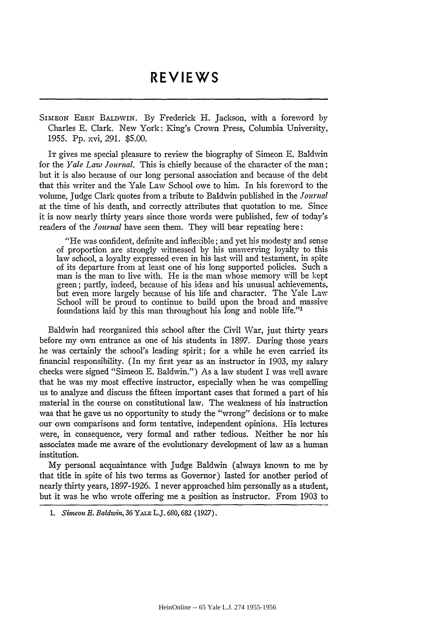## **REVIEWS REVIEWS**

SIMEON **EBEN** BALDWIN. By Frederick H. Jackson, with a foreword by SIMEON EBEN BALDWIN. By Frederick H. Jackson, with a foreword by Charles **E.** Clark. New York: King's Crown Press, Columbia University, Charles E. Clark. New York: King's Crown Press, Columbia University, 1955. Pp. xvi, 291. \$5.00. 1955. Pp. xvi, 291. \$5.00.

It gives me special pleasure to review the biography of Simeon E. Baldwin for the *Yale Law Journal*. This is chiefly because of the character of the man; but it is also because of our long personal association and because of the debt but it is also because of our long personal association and because of the debt that this writer and the Yale Law School owe to him. In his foreword to the that this writer and the Yale Law School owe to him. In his foreword to the volume, Judge Clark quotes from a tribute to Baldwin published in the *Jolrnal* volume, Judge Clark quotes from a tribute to Baldwin published in *the]ournal* at the time of his death, and correctly attributes that quotation to me. Since at the time of his death, and correctly attributes that quotation to me. Since<br>it is now nearly thirty years since those words were published, few of today's readers of the *Journal* have seen them. They will bear repeating here:

"He was confident, definite and inflexible; and yet his modesty and sense "He was confident, definite and inflexible; and yet his modesty and sense of proportion are strongly witnessed by his unswerving loyalty to this of proportion are strongly witnessed by his unswerving loyalty to this<br>law school, a loyalty expressed even in his last will and testament, in spite of its departure from at least one of his long supported policies. Such a of its departure from at least one of his long supported policies. Such a man is the man to live with. He is the man whose memory will be kept man is the man to live with. He is the man whose memory will be kept green; partly, indeed, because of his ideas and his unusual achievements, green; partly, indeed, because of his ideas and his unusual achievements, but even more largely because of his life and character. The Yale Law School will be proud to continue to build upon the broad and massive foundations laid by this man throughout his long and noble life."' but even more largely because of his life and character. The Yale Law<br>School will be proud to continue to build upon the broad and massive<br>foundations laid by this man throughout his long and noble life."<sup>1</sup>

Baldwin had reorganized this school after the Civil War, just thirty years Baldwin had reorganized this school after the Civil War, just thirty years before my own entrance as one of his students in 1897. During those years before my own entrance as one of his students in 1897. During those years he was certainly the school's leading spirit; for a while he even carried its he was certainly the school's leading spirit; for a while he even carried its financial responsibility. (In my first year as an instructor in 1903, my salary financial responsibility. (In my first year as an instructor in 1903, my salary checks were signed "Simeon **E.** Baldwin.") As a law student I was well aware checks were signed "Simeon E. Baldwin.") As a law student I was well aware that he was my most effective instructor, especially when he was compelling us to analyze and discuss the fifteen important cases that formed a part of his us to analyze and discuss the fifteen important cases that formed a part of his<br>material in the course on constitutional law. The weakness of his instruction was that he gave us no opportunity to study the "wrong" decisions or to make was that he gave us no opportunity to study the "wrong" decisions or to make our own comparisons and form tentative, independent opinions. His lectures our own comparisons and form tentative, independent opinions. His lectures were, in consequence, very formal and rather tedious. Neither he nor his were, in consequence, very formal and rather tedious. Neither he nor his associates made me aware of the evolutionary development of law as a human associates made me aware of the evolutionary development of law as a human institution. institution.

My personal acquaintance with Judge Baldwin (always known to me by My personal acquaintance with Judge Baldwin (always known to me by that title in spite of his two terms as Governor) lasted for another period of that title in spite of his two terms as Governor) lasted for another period of nearly thirty years, 1897-1926. I never approached him personally as a student, nearly thirty years, 1897-1926. I never approached him personally as a student, but it was he who wrote offering me a position as instructor. From 1903 to but it was he who wrote offering me a position as instructor. From 1903 to

*<sup>1.</sup> Simeon E. Baldwin, 36* YALE L.J. 680, **682 (1927).** *1. Simeon E. Baldwin,* 36 YALE L.]. 680, 682 (1927).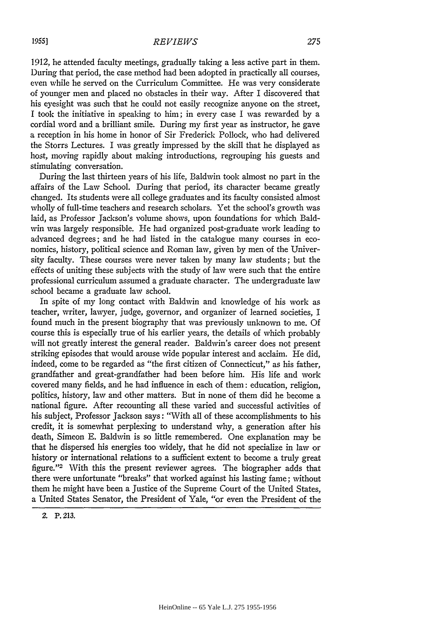1912, he attended faculty meetings, gradually taking a less active part in them. 1912, he attended faculty meetings, gradually taking a less active part in them.<br>During that period, the case method had been adopted in practically all courses, even while he served on the Curriculum Committee. He was very considerate even while he served on the Curriculum Committee. He was very considerate of younger men and placed no obstacles in their way. After I discovered that his eyesight was such that he could not easily recognize anyone on the street, I took the initiative in speaking to him; in every case I was rewarded by a his eyesight was such that he could not easily recognize anyone on the street, I took the initiative in speaking to him; in every case I was rewarded by a cordial word and a brilliant smile. During my first year as instru a reception in his home in honor of Sir Frederick Pollock, who had delivered a reception in his home in honor of Sir Frederick Pollock, who had delivered the Storrs Lectures. I was greatly impressed by the skill that he displayed as the Storrs Lectures. I was greatly impressed by the skill that he displayed as<br>host, moving rapidly about making introductions, regrouping his guests and stimulating conversation. stimulating conversation.

During the last thirteen years of his life, Baldwin took almost no part in the During the last thirteen years of his life, Baldwin took almost no part in the affairs of the Law School. During that period, its character became greatly affairs of the Law School. During that period, its character became greatly changed. Its students were all college graduates and its faculty consisted almost changed. Its students were all college graduates and its faculty consisted almost wholly of full-time teachers and research scholars. Yet the school's growth was wholly of full-time teachers and research scholars. Yet the school's growth laid, as Professor Jackson's volume shows, upon foundations for which Bald-laid, as Professor Jackson's volume shows, upon foundations for which Baldwin was largely responsible. He had organized post-graduate work leading to advanced degrees; and he had listed in the catalogue many courses in eco-advanced degrees; and he had listed in the catalogue many courses in economics, history, political science and Roman law, given by men of the Univer-nomics, history, political science and Roman law, given by men of the University faculty. These courses were never taken by many law students; but the effects of uniting these subjects with the study of law were such that the entire sity faculty. These courses were never taken by many law students; but the<br>effects of uniting these subjects with the study of law were such that the entire<br>professional curriculum assumed a graduate character. The undergr school became a graduate law school.

school became a graduate law school.<br>In spite of my long contact with Baldwin and knowledge of his work as teacher, writer, lawyer, judge, governor, and organizer of learned societies, I teacher, writer, lawyer, judge, governor, and organizer of learned societies, I found much in the present biography that was previously unknown to me. Of found much in the present biography that was previously unknown to me. Of course this is especially true of his earlier years, the details of which probably course this is especially true of his earlier years, the details of which probably will not greatly interest the general reader. Baldwin's career does not present will not greatly interest the general reader. Baldwin's career does not present striking episodes that would arouse wide popular interest and acclaim. He did, indeed, come to be regarded as "the first citizen of Connecticut," as his father, indeed, come to be regarded as "the first citizen of Connecticut," as his father, grandfather and great-grandfather had been before him. His life and work grandfather and great-grandfather had been before him. His life and work<br>covered many fields, and he had influence in each of them: education, religion, politics, history, law and other matters. But in none of them did he become a politics, history, law and other matters. But in none of them did he become national figure. After recounting all these varied and successful activities of national figure. After recounting all these varied and successful activities of<br>his subject, Professor Jackson says : ''With all of these accomplishments to his credit, it is somewhat perplexing to understand why, a generation after his credit, it is somewhat perplexing to understand why, a generation after his<br>death, Simeon E. Baldwin is so little remembered. One explanation may be that he dispersed his energies too widely, that he did not specialize in law or that he dispersed his energies too widely, that he did not specialize in law or history or international relations to a sufficient extent to become a truly great history or international relations to a sufficient extent to become a truly great figure."'2 With this the present reviewer agrees. The biographer adds that figure."2 \Vith this the present reviewer agrees. The biographer adds that there were unfortunate "breaks" that worked against his lasting fame; without there were unfortunate "breaks" that worked against his lasting fame; without them he might have been a Justice of the Supreme Court of the United States, them he might have been a Justice of the Supreme Court of the United States, a United States Senator, the President of Yale, "or even the President of the a United States Senator, the President of Yale, "or even the President of the

*2.* P. **213.** Z. P.213.